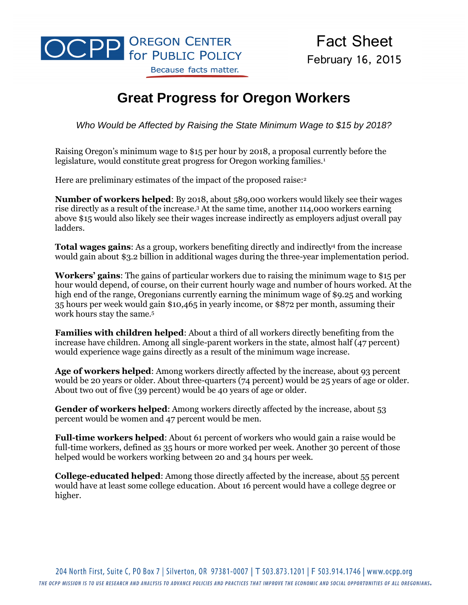

Fact Sheet February 16, 2015

## **Great Progress for Oregon Workers**

*Who Would be Affected by Raising the State Minimum Wage to \$15 by 2018?*

Raising Oregon's minimum wage to \$15 per hour by 2018, a proposal currently before the legislature, would constitute great progress for Oregon working families.<sup>1</sup>

Here are preliminary estimates of the impact of the proposed raise:<sup>2</sup>

**Number of workers helped**: By 2018, about 589,000 workers would likely see their wages rise directly as a result of the increase.<sup>3</sup> At the same time, another 114,000 workers earning above \$15 would also likely see their wages increase indirectly as employers adjust overall pay ladders.

**Total wages gains**: As a group, workers benefiting directly and indirectly<sup>4</sup> from the increase would gain about \$3.2 billion in additional wages during the three-year implementation period.

**Workers' gains**: The gains of particular workers due to raising the minimum wage to \$15 per hour would depend, of course, on their current hourly wage and number of hours worked. At the high end of the range, Oregonians currently earning the minimum wage of \$9.25 and working 35 hours per week would gain \$10,465 in yearly income, or \$872 per month, assuming their work hours stay the same.<sup>5</sup>

**Families with children helped**: About a third of all workers directly benefiting from the increase have children. Among all single-parent workers in the state, almost half (47 percent) would experience wage gains directly as a result of the minimum wage increase.

**Age of workers helped**: Among workers directly affected by the increase, about 93 percent would be 20 years or older. About three-quarters (74 percent) would be 25 years of age or older. About two out of five (39 percent) would be 40 years of age or older.

**Gender of workers helped**: Among workers directly affected by the increase, about 53 percent would be women and 47 percent would be men.

**Full-time workers helped**: About 61 percent of workers who would gain a raise would be full-time workers, defined as 35 hours or more worked per week. Another 30 percent of those helped would be workers working between 20 and 34 hours per week.

**College-educated helped**: Among those directly affected by the increase, about 55 percent would have at least some college education. About 16 percent would have a college degree or higher.